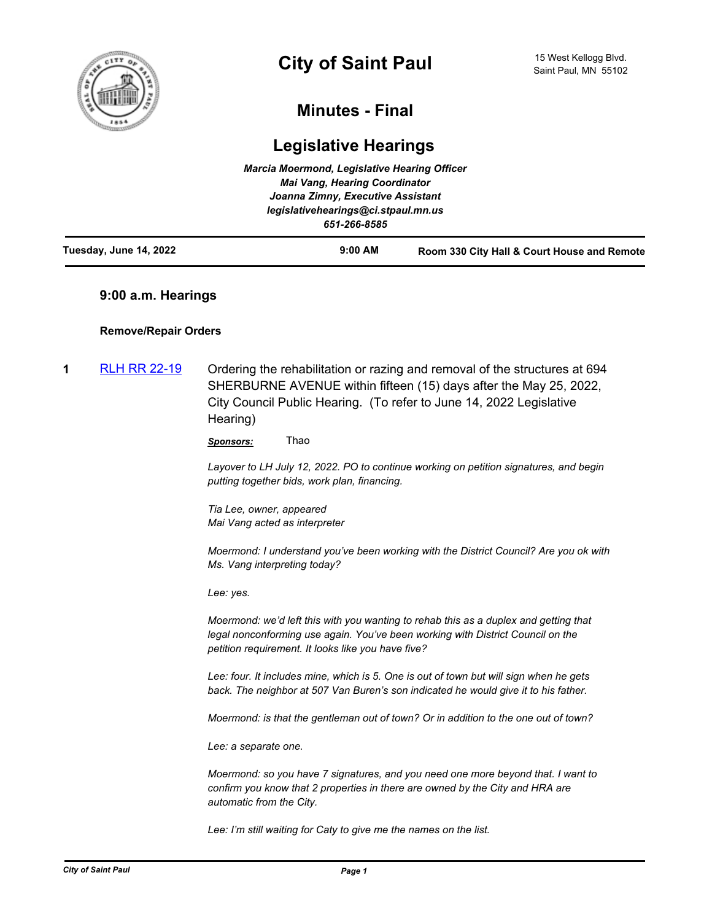

# **Minutes - Final**

# **Legislative Hearings**

|                        | Marcia Moermond, Legislative Hearing Officer<br>Mai Vang, Hearing Coordinator |                                             |
|------------------------|-------------------------------------------------------------------------------|---------------------------------------------|
|                        | Joanna Zimny, Executive Assistant                                             |                                             |
|                        | legislativehearings@ci.stpaul.mn.us                                           |                                             |
|                        | 651-266-8585                                                                  |                                             |
| Tuesday, June 14, 2022 | $9:00$ AM                                                                     | Room 330 City Hall & Court House and Remote |

# **9:00 a.m. Hearings**

# **Remove/Repair Orders**

**1** [RLH RR 22-19](http://stpaul.legistar.com/gateway.aspx?m=l&id=/matter.aspx?key=41476) Ordering the rehabilitation or razing and removal of the structures at 694 SHERBURNE AVENUE within fifteen (15) days after the May 25, 2022, City Council Public Hearing. (To refer to June 14, 2022 Legislative Hearing)

*Sponsors:* Thao

*Layover to LH July 12, 2022. PO to continue working on petition signatures, and begin putting together bids, work plan, financing.* 

*Tia Lee, owner, appeared Mai Vang acted as interpreter*

*Moermond: I understand you've been working with the District Council? Are you ok with Ms. Vang interpreting today?*

*Lee: yes.* 

*Moermond: we'd left this with you wanting to rehab this as a duplex and getting that legal nonconforming use again. You've been working with District Council on the petition requirement. It looks like you have five?*

*Lee: four. It includes mine, which is 5. One is out of town but will sign when he gets back. The neighbor at 507 Van Buren's son indicated he would give it to his father.* 

*Moermond: is that the gentleman out of town? Or in addition to the one out of town?*

*Lee: a separate one.*

*Moermond: so you have 7 signatures, and you need one more beyond that. I want to confirm you know that 2 properties in there are owned by the City and HRA are automatic from the City.* 

*Lee: I'm still waiting for Caty to give me the names on the list.*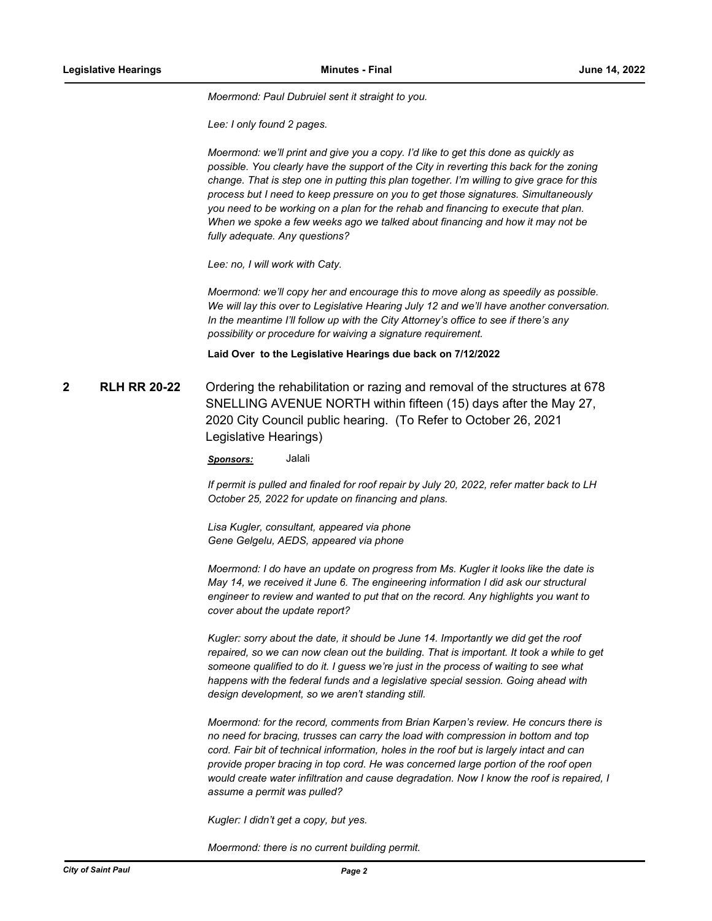*Moermond: Paul Dubruiel sent it straight to you.* 

*Lee: I only found 2 pages.* 

*Moermond: we'll print and give you a copy. I'd like to get this done as quickly as possible. You clearly have the support of the City in reverting this back for the zoning change. That is step one in putting this plan together. I'm willing to give grace for this process but I need to keep pressure on you to get those signatures. Simultaneously you need to be working on a plan for the rehab and financing to execute that plan. When we spoke a few weeks ago we talked about financing and how it may not be fully adequate. Any questions?* 

*Lee: no, I will work with Caty.* 

*Moermond: we'll copy her and encourage this to move along as speedily as possible. We will lay this over to Legislative Hearing July 12 and we'll have another conversation. In the meantime I'll follow up with the City Attorney's office to see if there's any possibility or procedure for waiving a signature requirement.*

#### **Laid Over to the Legislative Hearings due back on 7/12/2022**

**2 RLH RR 20-22** Ordering the rehabilitation or razing and removal of the structures at 678 SNELLING AVENUE NORTH within fifteen (15) days after the May 27, 2020 City Council public hearing. (To Refer to October 26, 2021 Legislative Hearings)

*Sponsors:* Jalali

*If permit is pulled and finaled for roof repair by July 20, 2022, refer matter back to LH October 25, 2022 for update on financing and plans.* 

*Lisa Kugler, consultant, appeared via phone Gene Gelgelu, AEDS, appeared via phone*

*Moermond: I do have an update on progress from Ms. Kugler it looks like the date is May 14, we received it June 6. The engineering information I did ask our structural engineer to review and wanted to put that on the record. Any highlights you want to cover about the update report?*

*Kugler: sorry about the date, it should be June 14. Importantly we did get the roof repaired, so we can now clean out the building. That is important. It took a while to get someone qualified to do it. I guess we're just in the process of waiting to see what happens with the federal funds and a legislative special session. Going ahead with design development, so we aren't standing still.* 

*Moermond: for the record, comments from Brian Karpen's review. He concurs there is no need for bracing, trusses can carry the load with compression in bottom and top cord. Fair bit of technical information, holes in the roof but is largely intact and can provide proper bracing in top cord. He was concerned large portion of the roof open would create water infiltration and cause degradation. Now I know the roof is repaired, I assume a permit was pulled?*

*Kugler: I didn't get a copy, but yes.* 

*Moermond: there is no current building permit.*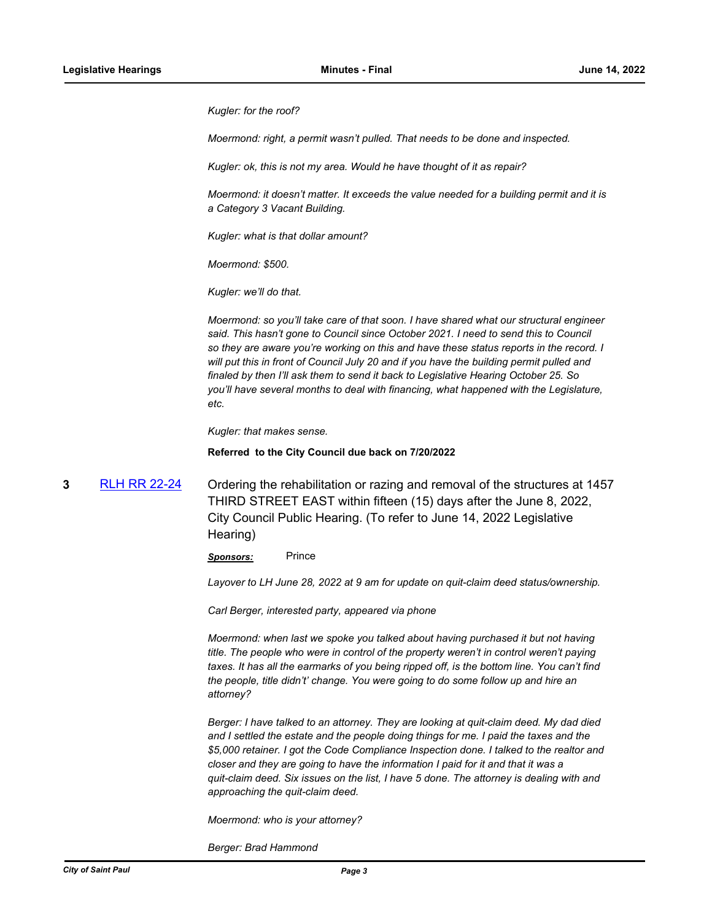*Kugler: for the roof?*

*Moermond: right, a permit wasn't pulled. That needs to be done and inspected.* 

*Kugler: ok, this is not my area. Would he have thought of it as repair?* 

*Moermond: it doesn't matter. It exceeds the value needed for a building permit and it is a Category 3 Vacant Building.*

*Kugler: what is that dollar amount?*

*Moermond: \$500.*

*Kugler: we'll do that.* 

*Moermond: so you'll take care of that soon. I have shared what our structural engineer said. This hasn't gone to Council since October 2021. I need to send this to Council so they are aware you're working on this and have these status reports in the record. I will put this in front of Council July 20 and if you have the building permit pulled and finaled by then I'll ask them to send it back to Legislative Hearing October 25. So you'll have several months to deal with financing, what happened with the Legislature, etc.* 

*Kugler: that makes sense.*

**Referred to the City Council due back on 7/20/2022**

**3** [RLH RR 22-24](http://stpaul.legistar.com/gateway.aspx?m=l&id=/matter.aspx?key=41599) Ordering the rehabilitation or razing and removal of the structures at 1457 THIRD STREET EAST within fifteen (15) days after the June 8, 2022, City Council Public Hearing. (To refer to June 14, 2022 Legislative Hearing)

*Sponsors:* Prince

*Layover to LH June 28, 2022 at 9 am for update on quit-claim deed status/ownership.* 

*Carl Berger, interested party, appeared via phone*

*Moermond: when last we spoke you talked about having purchased it but not having title. The people who were in control of the property weren't in control weren't paying taxes. It has all the earmarks of you being ripped off, is the bottom line. You can't find the people, title didn't' change. You were going to do some follow up and hire an attorney?*

*Berger: I have talked to an attorney. They are looking at quit-claim deed. My dad died and I settled the estate and the people doing things for me. I paid the taxes and the \$5,000 retainer. I got the Code Compliance Inspection done. I talked to the realtor and closer and they are going to have the information I paid for it and that it was a quit-claim deed. Six issues on the list, I have 5 done. The attorney is dealing with and approaching the quit-claim deed.*

*Moermond: who is your attorney?*

*Berger: Brad Hammond*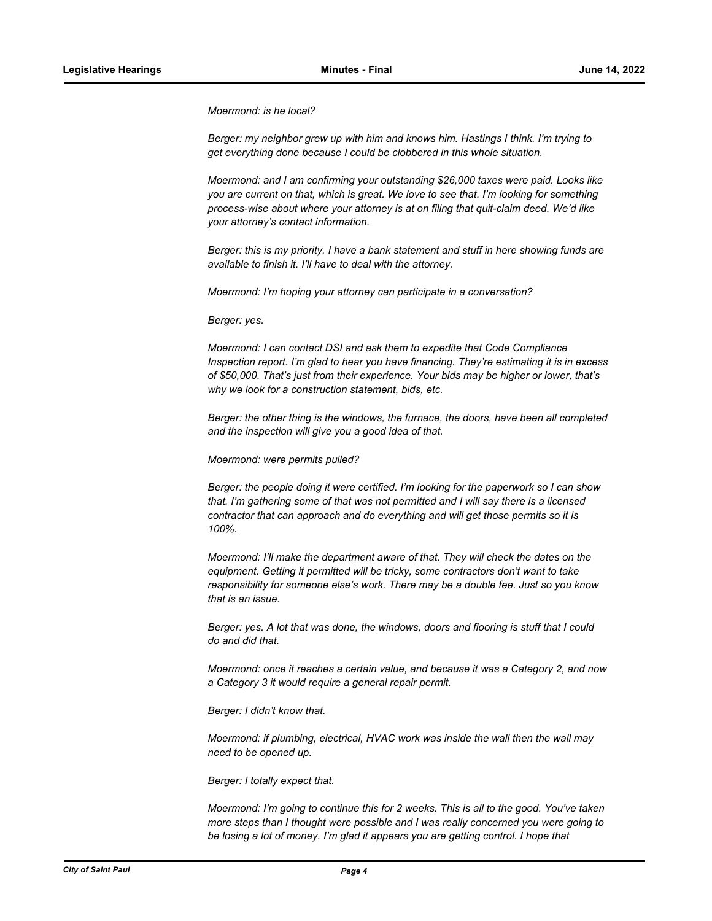*Moermond: is he local?*

*Berger: my neighbor grew up with him and knows him. Hastings I think. I'm trying to get everything done because I could be clobbered in this whole situation.*

*Moermond: and I am confirming your outstanding \$26,000 taxes were paid. Looks like you are current on that, which is great. We love to see that. I'm looking for something process-wise about where your attorney is at on filing that quit-claim deed. We'd like your attorney's contact information.*

*Berger: this is my priority. I have a bank statement and stuff in here showing funds are available to finish it. I'll have to deal with the attorney.* 

*Moermond: I'm hoping your attorney can participate in a conversation?*

*Berger: yes.* 

*Moermond: I can contact DSI and ask them to expedite that Code Compliance Inspection report. I'm glad to hear you have financing. They're estimating it is in excess of \$50,000. That's just from their experience. Your bids may be higher or lower, that's why we look for a construction statement, bids, etc.* 

*Berger: the other thing is the windows, the furnace, the doors, have been all completed and the inspection will give you a good idea of that.*

*Moermond: were permits pulled?*

*Berger: the people doing it were certified. I'm looking for the paperwork so I can show that. I'm gathering some of that was not permitted and I will say there is a licensed contractor that can approach and do everything and will get those permits so it is 100%.* 

*Moermond: I'll make the department aware of that. They will check the dates on the equipment. Getting it permitted will be tricky, some contractors don't want to take responsibility for someone else's work. There may be a double fee. Just so you know that is an issue.* 

*Berger: yes. A lot that was done, the windows, doors and flooring is stuff that I could do and did that.* 

*Moermond: once it reaches a certain value, and because it was a Category 2, and now a Category 3 it would require a general repair permit.* 

*Berger: I didn't know that.*

*Moermond: if plumbing, electrical, HVAC work was inside the wall then the wall may need to be opened up.*

*Berger: I totally expect that.*

*Moermond: I'm going to continue this for 2 weeks. This is all to the good. You've taken more steps than I thought were possible and I was really concerned you were going to be losing a lot of money. I'm glad it appears you are getting control. I hope that*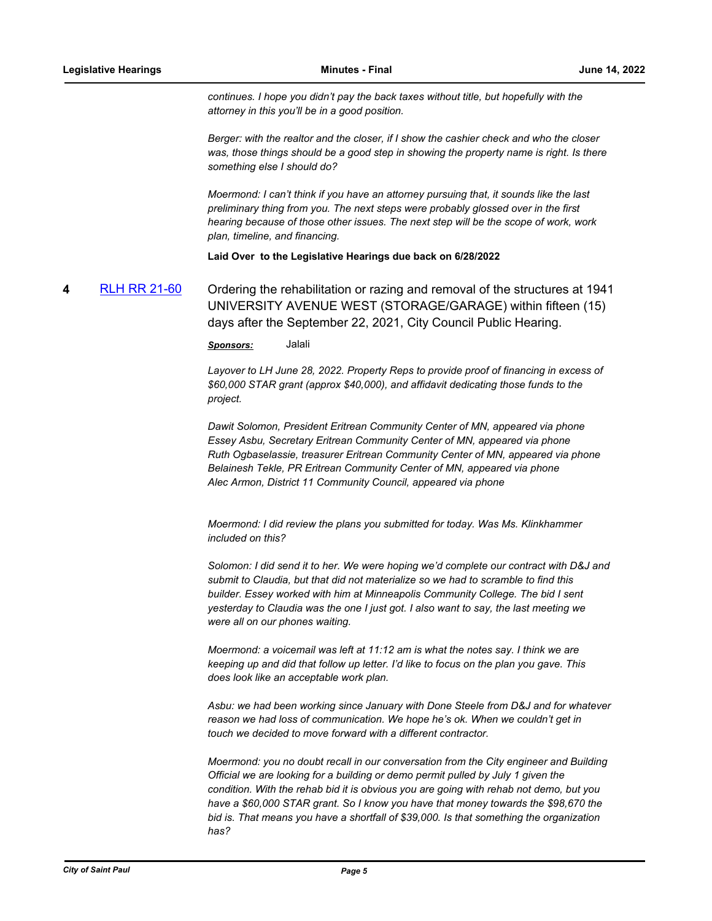*continues. I hope you didn't pay the back taxes without title, but hopefully with the attorney in this you'll be in a good position.* 

*Berger: with the realtor and the closer, if I show the cashier check and who the closer*  was, those things should be a good step in showing the property name is right. Is there *something else I should do?* 

*Moermond: I can't think if you have an attorney pursuing that, it sounds like the last preliminary thing from you. The next steps were probably glossed over in the first hearing because of those other issues. The next step will be the scope of work, work plan, timeline, and financing.*

#### **Laid Over to the Legislative Hearings due back on 6/28/2022**

**4** [RLH RR 21-60](http://stpaul.legistar.com/gateway.aspx?m=l&id=/matter.aspx?key=38878) Ordering the rehabilitation or razing and removal of the structures at 1941 UNIVERSITY AVENUE WEST (STORAGE/GARAGE) within fifteen (15) days after the September 22, 2021, City Council Public Hearing.

*Sponsors:* Jalali

*Layover to LH June 28, 2022. Property Reps to provide proof of financing in excess of \$60,000 STAR grant (approx \$40,000), and affidavit dedicating those funds to the project.* 

*Dawit Solomon, President Eritrean Community Center of MN, appeared via phone Essey Asbu, Secretary Eritrean Community Center of MN, appeared via phone Ruth Ogbaselassie, treasurer Eritrean Community Center of MN, appeared via phone Belainesh Tekle, PR Eritrean Community Center of MN, appeared via phone Alec Armon, District 11 Community Council, appeared via phone*

*Moermond: I did review the plans you submitted for today. Was Ms. Klinkhammer included on this?*

*Solomon: I did send it to her. We were hoping we'd complete our contract with D&J and submit to Claudia, but that did not materialize so we had to scramble to find this builder. Essey worked with him at Minneapolis Community College. The bid I sent yesterday to Claudia was the one I just got. I also want to say, the last meeting we were all on our phones waiting.* 

*Moermond: a voicemail was left at 11:12 am is what the notes say. I think we are keeping up and did that follow up letter. I'd like to focus on the plan you gave. This does look like an acceptable work plan.* 

*Asbu: we had been working since January with Done Steele from D&J and for whatever reason we had loss of communication. We hope he's ok. When we couldn't get in touch we decided to move forward with a different contractor.* 

*Moermond: you no doubt recall in our conversation from the City engineer and Building Official we are looking for a building or demo permit pulled by July 1 given the condition. With the rehab bid it is obvious you are going with rehab not demo, but you have a \$60,000 STAR grant. So I know you have that money towards the \$98,670 the bid is. That means you have a shortfall of \$39,000. Is that something the organization has?*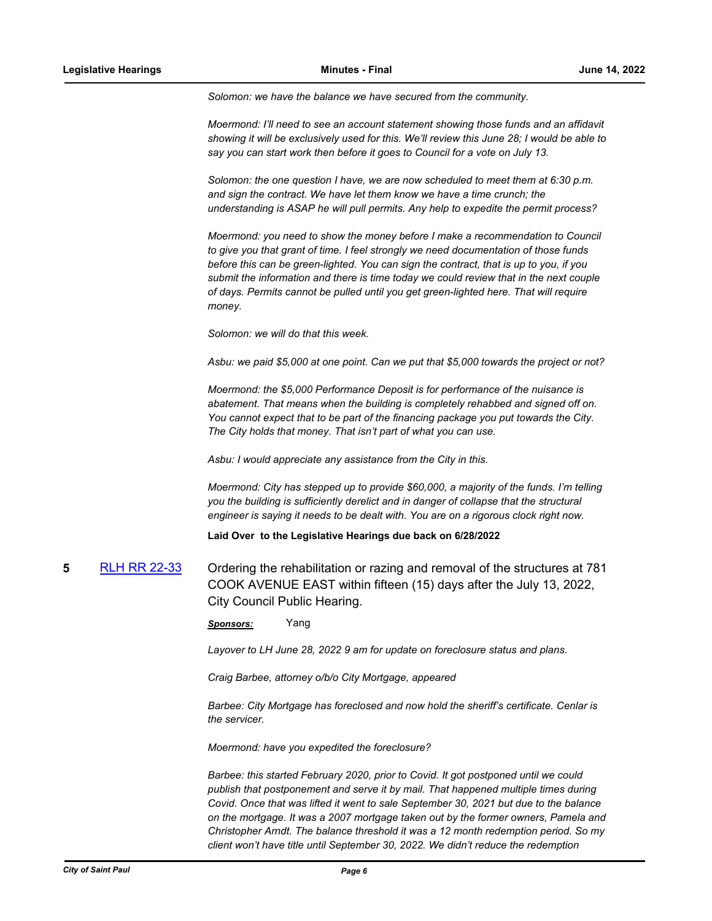*Solomon: we have the balance we have secured from the community.* 

*Moermond: I'll need to see an account statement showing those funds and an affidavit showing it will be exclusively used for this. We'll review this June 28; I would be able to say you can start work then before it goes to Council for a vote on July 13.* 

*Solomon: the one question I have, we are now scheduled to meet them at 6:30 p.m. and sign the contract. We have let them know we have a time crunch; the understanding is ASAP he will pull permits. Any help to expedite the permit process?*

*Moermond: you need to show the money before I make a recommendation to Council to give you that grant of time. I feel strongly we need documentation of those funds before this can be green-lighted. You can sign the contract, that is up to you, if you submit the information and there is time today we could review that in the next couple of days. Permits cannot be pulled until you get green-lighted here. That will require money.* 

*Solomon: we will do that this week.* 

*Asbu: we paid \$5,000 at one point. Can we put that \$5,000 towards the project or not?* 

*Moermond: the \$5,000 Performance Deposit is for performance of the nuisance is abatement. That means when the building is completely rehabbed and signed off on. You cannot expect that to be part of the financing package you put towards the City. The City holds that money. That isn't part of what you can use.* 

*Asbu: I would appreciate any assistance from the City in this.* 

*Moermond: City has stepped up to provide \$60,000, a majority of the funds. I'm telling you the building is sufficiently derelict and in danger of collapse that the structural engineer is saying it needs to be dealt with. You are on a rigorous clock right now.*

**Laid Over to the Legislative Hearings due back on 6/28/2022**

**5** [RLH RR 22-33](http://stpaul.legistar.com/gateway.aspx?m=l&id=/matter.aspx?key=41832) Ordering the rehabilitation or razing and removal of the structures at 781 COOK AVENUE EAST within fifteen (15) days after the July 13, 2022, City Council Public Hearing.

*Sponsors:* Yang

*Layover to LH June 28, 2022 9 am for update on foreclosure status and plans.* 

*Craig Barbee, attorney o/b/o City Mortgage, appeared*

*Barbee: City Mortgage has foreclosed and now hold the sheriff's certificate. Cenlar is the servicer.*

*Moermond: have you expedited the foreclosure?* 

*Barbee: this started February 2020, prior to Covid. It got postponed until we could publish that postponement and serve it by mail. That happened multiple times during Covid. Once that was lifted it went to sale September 30, 2021 but due to the balance on the mortgage. It was a 2007 mortgage taken out by the former owners, Pamela and Christopher Arndt. The balance threshold it was a 12 month redemption period. So my client won't have title until September 30, 2022. We didn't reduce the redemption*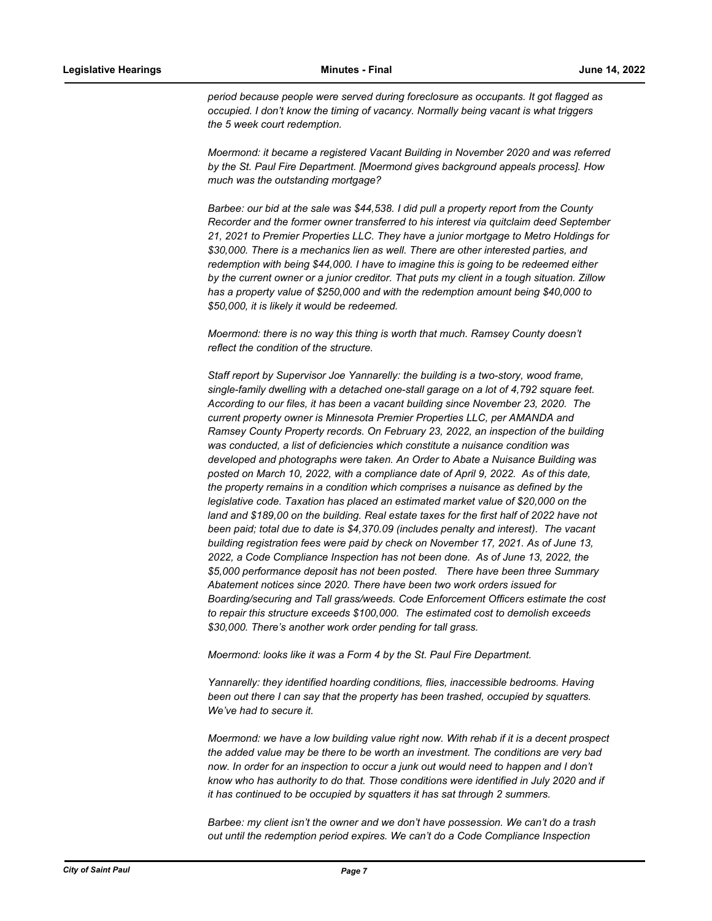*period because people were served during foreclosure as occupants. It got flagged as occupied. I don't know the timing of vacancy. Normally being vacant is what triggers the 5 week court redemption.* 

*Moermond: it became a registered Vacant Building in November 2020 and was referred by the St. Paul Fire Department. [Moermond gives background appeals process]. How much was the outstanding mortgage?*

*Barbee: our bid at the sale was \$44,538. I did pull a property report from the County Recorder and the former owner transferred to his interest via quitclaim deed September 21, 2021 to Premier Properties LLC. They have a junior mortgage to Metro Holdings for \$30,000. There is a mechanics lien as well. There are other interested parties, and redemption with being \$44,000. I have to imagine this is going to be redeemed either by the current owner or a junior creditor. That puts my client in a tough situation. Zillow has a property value of \$250,000 and with the redemption amount being \$40,000 to \$50,000, it is likely it would be redeemed.* 

*Moermond: there is no way this thing is worth that much. Ramsey County doesn't reflect the condition of the structure.* 

*Staff report by Supervisor Joe Yannarelly: the building is a two-story, wood frame, single-family dwelling with a detached one-stall garage on a lot of 4,792 square feet. According to our files, it has been a vacant building since November 23, 2020. The current property owner is Minnesota Premier Properties LLC, per AMANDA and Ramsey County Property records. On February 23, 2022, an inspection of the building was conducted, a list of deficiencies which constitute a nuisance condition was developed and photographs were taken. An Order to Abate a Nuisance Building was posted on March 10, 2022, with a compliance date of April 9, 2022. As of this date, the property remains in a condition which comprises a nuisance as defined by the legislative code. Taxation has placed an estimated market value of \$20,000 on the land and \$189,00 on the building. Real estate taxes for the first half of 2022 have not been paid; total due to date is \$4,370.09 (includes penalty and interest). The vacant building registration fees were paid by check on November 17, 2021. As of June 13, 2022, a Code Compliance Inspection has not been done. As of June 13, 2022, the \$5,000 performance deposit has not been posted. There have been three Summary Abatement notices since 2020. There have been two work orders issued for Boarding/securing and Tall grass/weeds. Code Enforcement Officers estimate the cost to repair this structure exceeds \$100,000. The estimated cost to demolish exceeds \$30,000. There's another work order pending for tall grass.*

*Moermond: looks like it was a Form 4 by the St. Paul Fire Department.* 

*Yannarelly: they identified hoarding conditions, flies, inaccessible bedrooms. Having been out there I can say that the property has been trashed, occupied by squatters. We've had to secure it.* 

*Moermond: we have a low building value right now. With rehab if it is a decent prospect the added value may be there to be worth an investment. The conditions are very bad now. In order for an inspection to occur a junk out would need to happen and I don't know who has authority to do that. Those conditions were identified in July 2020 and if it has continued to be occupied by squatters it has sat through 2 summers.* 

*Barbee: my client isn't the owner and we don't have possession. We can't do a trash out until the redemption period expires. We can't do a Code Compliance Inspection*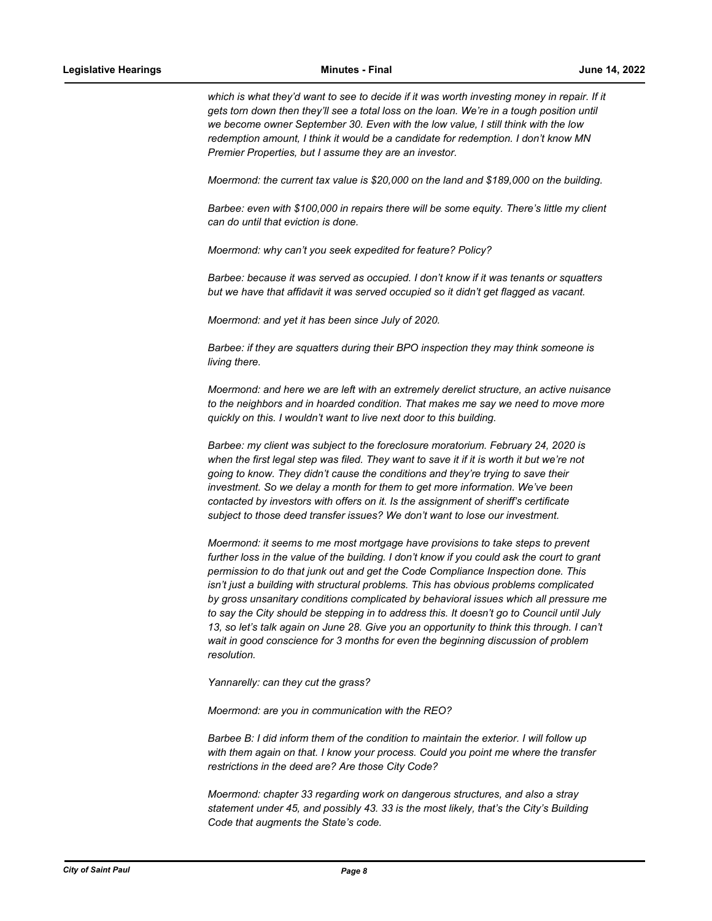which is what they'd want to see to decide if it was worth investing money in repair. If it *gets torn down then they'll see a total loss on the loan. We're in a tough position until we become owner September 30. Even with the low value, I still think with the low redemption amount, I think it would be a candidate for redemption. I don't know MN Premier Properties, but I assume they are an investor.*

*Moermond: the current tax value is \$20,000 on the land and \$189,000 on the building.* 

*Barbee: even with \$100,000 in repairs there will be some equity. There's little my client can do until that eviction is done.* 

*Moermond: why can't you seek expedited for feature? Policy?* 

*Barbee: because it was served as occupied. I don't know if it was tenants or squatters but we have that affidavit it was served occupied so it didn't get flagged as vacant.*

*Moermond: and yet it has been since July of 2020.* 

*Barbee: if they are squatters during their BPO inspection they may think someone is living there.*

*Moermond: and here we are left with an extremely derelict structure, an active nuisance to the neighbors and in hoarded condition. That makes me say we need to move more quickly on this. I wouldn't want to live next door to this building.*

*Barbee: my client was subject to the foreclosure moratorium. February 24, 2020 is when the first legal step was filed. They want to save it if it is worth it but we're not going to know. They didn't cause the conditions and they're trying to save their investment. So we delay a month for them to get more information. We've been contacted by investors with offers on it. Is the assignment of sheriff's certificate subject to those deed transfer issues? We don't want to lose our investment.* 

*Moermond: it seems to me most mortgage have provisions to take steps to prevent further loss in the value of the building. I don't know if you could ask the court to grant permission to do that junk out and get the Code Compliance Inspection done. This isn't just a building with structural problems. This has obvious problems complicated by gross unsanitary conditions complicated by behavioral issues which all pressure me to say the City should be stepping in to address this. It doesn't go to Council until July 13, so let's talk again on June 28. Give you an opportunity to think this through. I can't wait in good conscience for 3 months for even the beginning discussion of problem resolution.* 

*Yannarelly: can they cut the grass?*

*Moermond: are you in communication with the REO?*

*Barbee B: I did inform them of the condition to maintain the exterior. I will follow up with them again on that. I know your process. Could you point me where the transfer restrictions in the deed are? Are those City Code?*

*Moermond: chapter 33 regarding work on dangerous structures, and also a stray statement under 45, and possibly 43. 33 is the most likely, that's the City's Building Code that augments the State's code.*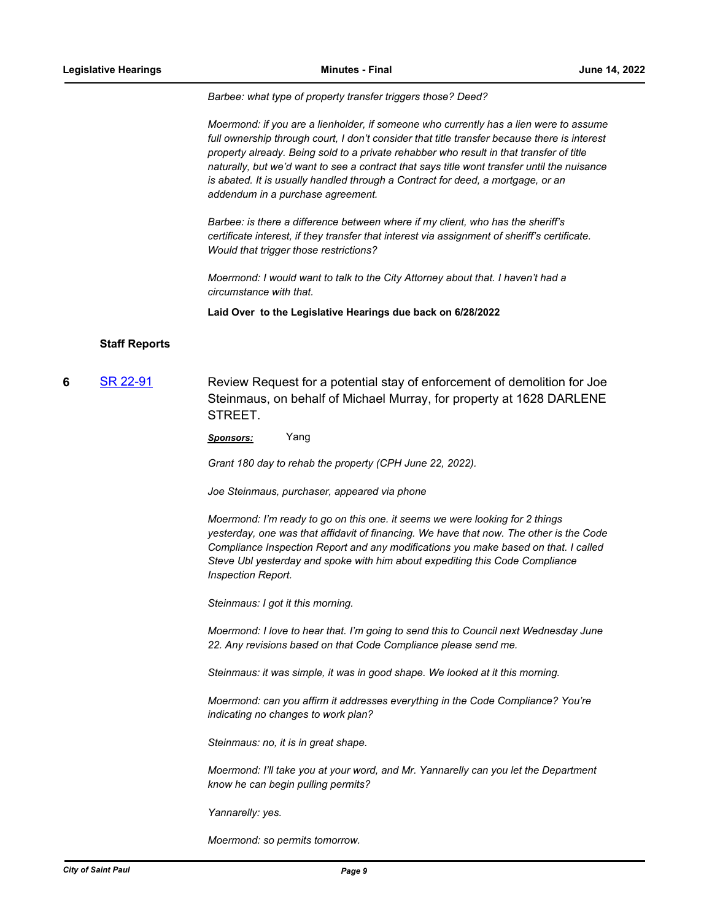*Barbee: what type of property transfer triggers those? Deed?*

*Moermond: if you are a lienholder, if someone who currently has a lien were to assume full ownership through court, I don't consider that title transfer because there is interest property already. Being sold to a private rehabber who result in that transfer of title naturally, but we'd want to see a contract that says title wont transfer until the nuisance is abated. It is usually handled through a Contract for deed, a mortgage, or an addendum in a purchase agreement.* 

*Barbee: is there a difference between where if my client, who has the sheriff's certificate interest, if they transfer that interest via assignment of sheriff's certificate. Would that trigger those restrictions?*

*Moermond: I would want to talk to the City Attorney about that. I haven't had a circumstance with that.*

**Laid Over to the Legislative Hearings due back on 6/28/2022**

### **Staff Reports**

**6** [SR 22-91](http://stpaul.legistar.com/gateway.aspx?m=l&id=/matter.aspx?key=41750) Review Request for a potential stay of enforcement of demolition for Joe Steinmaus, on behalf of Michael Murray, for property at 1628 DARLENE STREET.

*Sponsors:* Yang

*Grant 180 day to rehab the property (CPH June 22, 2022).*

*Joe Steinmaus, purchaser, appeared via phone*

*Moermond: I'm ready to go on this one. it seems we were looking for 2 things yesterday, one was that affidavit of financing. We have that now. The other is the Code Compliance Inspection Report and any modifications you make based on that. I called Steve Ubl yesterday and spoke with him about expediting this Code Compliance Inspection Report.* 

*Steinmaus: I got it this morning.* 

*Moermond: I love to hear that. I'm going to send this to Council next Wednesday June 22. Any revisions based on that Code Compliance please send me.*

*Steinmaus: it was simple, it was in good shape. We looked at it this morning.*

*Moermond: can you affirm it addresses everything in the Code Compliance? You're indicating no changes to work plan?*

*Steinmaus: no, it is in great shape.*

*Moermond: I'll take you at your word, and Mr. Yannarelly can you let the Department know he can begin pulling permits?*

*Yannarelly: yes.*

*Moermond: so permits tomorrow.*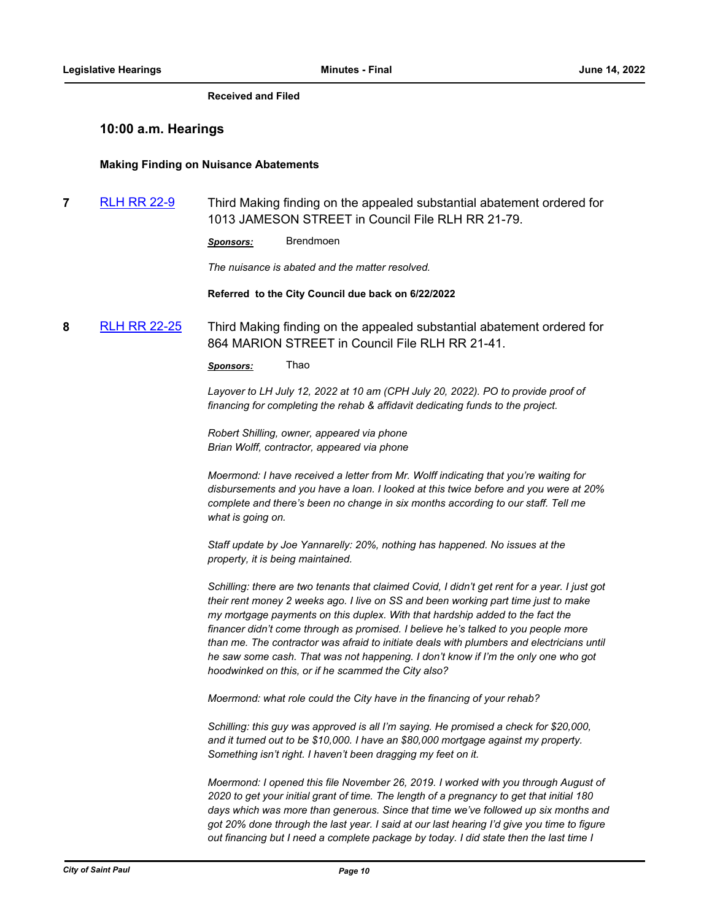#### **Received and Filed**

## **10:00 a.m. Hearings**

#### **Making Finding on Nuisance Abatements**

**7** [RLH RR 22-9](http://stpaul.legistar.com/gateway.aspx?m=l&id=/matter.aspx?key=41142) Third Making finding on the appealed substantial abatement ordered for 1013 JAMESON STREET in Council File RLH RR 21-79.

*Sponsors:* Brendmoen

*The nuisance is abated and the matter resolved.*

**Referred to the City Council due back on 6/22/2022**

**8** [RLH RR 22-25](http://stpaul.legistar.com/gateway.aspx?m=l&id=/matter.aspx?key=41611) Third Making finding on the appealed substantial abatement ordered for 864 MARION STREET in Council File RLH RR 21-41.

*Sponsors:* Thao

*Layover to LH July 12, 2022 at 10 am (CPH July 20, 2022). PO to provide proof of financing for completing the rehab & affidavit dedicating funds to the project.* 

*Robert Shilling, owner, appeared via phone Brian Wolff, contractor, appeared via phone*

*Moermond: I have received a letter from Mr. Wolff indicating that you're waiting for disbursements and you have a loan. I looked at this twice before and you were at 20% complete and there's been no change in six months according to our staff. Tell me what is going on.*

*Staff update by Joe Yannarelly: 20%, nothing has happened. No issues at the property, it is being maintained.* 

*Schilling: there are two tenants that claimed Covid, I didn't get rent for a year. I just got their rent money 2 weeks ago. I live on SS and been working part time just to make my mortgage payments on this duplex. With that hardship added to the fact the financer didn't come through as promised. I believe he's talked to you people more than me. The contractor was afraid to initiate deals with plumbers and electricians until he saw some cash. That was not happening. I don't know if I'm the only one who got hoodwinked on this, or if he scammed the City also?*

*Moermond: what role could the City have in the financing of your rehab?*

Schilling: this guy was approved is all I'm saying. He promised a check for \$20,000, *and it turned out to be \$10,000. I have an \$80,000 mortgage against my property. Something isn't right. I haven't been dragging my feet on it.* 

*Moermond: I opened this file November 26, 2019. I worked with you through August of 2020 to get your initial grant of time. The length of a pregnancy to get that initial 180 days which was more than generous. Since that time we've followed up six months and got 20% done through the last year. I said at our last hearing I'd give you time to figure out financing but I need a complete package by today. I did state then the last time I*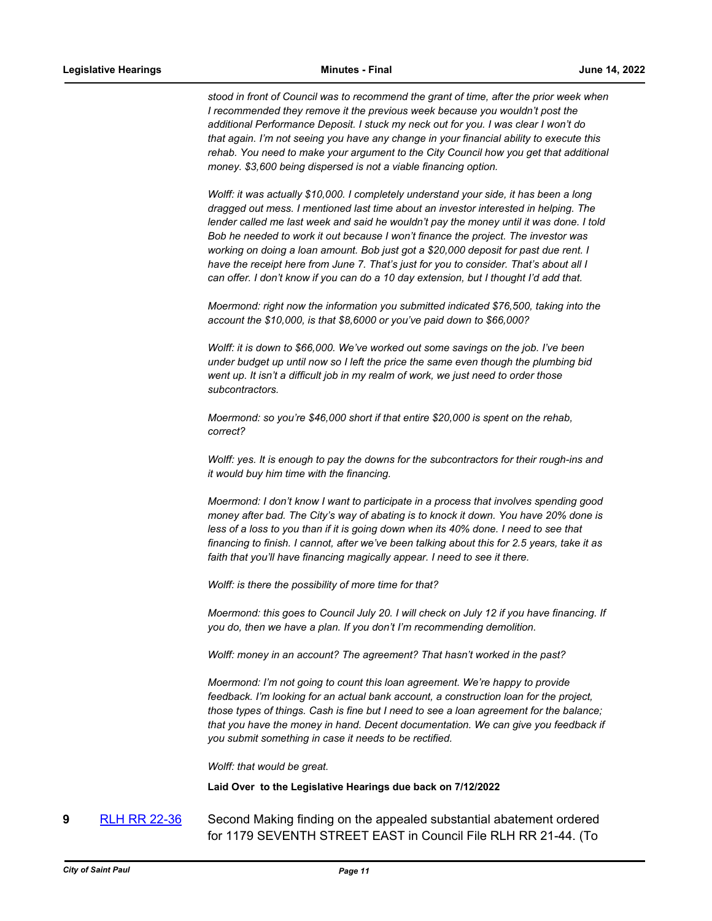*stood in front of Council was to recommend the grant of time, after the prior week when I* recommended they remove it the previous week because you wouldn't post the *additional Performance Deposit. I stuck my neck out for you. I was clear I won't do that again. I'm not seeing you have any change in your financial ability to execute this rehab. You need to make your argument to the City Council how you get that additional money. \$3,600 being dispersed is not a viable financing option.* 

*Wolff: it was actually \$10,000. I completely understand your side, it has been a long dragged out mess. I mentioned last time about an investor interested in helping. The lender called me last week and said he wouldn't pay the money until it was done. I told Bob he needed to work it out because I won't finance the project. The investor was working on doing a loan amount. Bob just got a \$20,000 deposit for past due rent. I have the receipt here from June 7. That's just for you to consider. That's about all I can offer. I don't know if you can do a 10 day extension, but I thought I'd add that.*

*Moermond: right now the information you submitted indicated \$76,500, taking into the account the \$10,000, is that \$8,6000 or you've paid down to \$66,000?*

*Wolff: it is down to \$66,000. We've worked out some savings on the job. I've been under budget up until now so I left the price the same even though the plumbing bid*  went up. It isn't a difficult job in my realm of work, we just need to order those *subcontractors.*

*Moermond: so you're \$46,000 short if that entire \$20,000 is spent on the rehab, correct?*

*Wolff: yes. It is enough to pay the downs for the subcontractors for their rough-ins and it would buy him time with the financing.* 

*Moermond: I don't know I want to participate in a process that involves spending good money after bad. The City's way of abating is to knock it down. You have 20% done is less of a loss to you than if it is going down when its 40% done. I need to see that financing to finish. I cannot, after we've been talking about this for 2.5 years, take it as faith that you'll have financing magically appear. I need to see it there.*

*Wolff: is there the possibility of more time for that?*

*Moermond: this goes to Council July 20. I will check on July 12 if you have financing. If you do, then we have a plan. If you don't I'm recommending demolition.* 

*Wolff: money in an account? The agreement? That hasn't worked in the past?* 

*Moermond: I'm not going to count this loan agreement. We're happy to provide feedback. I'm looking for an actual bank account, a construction loan for the project, those types of things. Cash is fine but I need to see a loan agreement for the balance; that you have the money in hand. Decent documentation. We can give you feedback if you submit something in case it needs to be rectified.* 

*Wolff: that would be great.*

**Laid Over to the Legislative Hearings due back on 7/12/2022**

**9** [RLH RR 22-36](http://stpaul.legistar.com/gateway.aspx?m=l&id=/matter.aspx?key=41891) Second Making finding on the appealed substantial abatement ordered for 1179 SEVENTH STREET EAST in Council File RLH RR 21-44. (To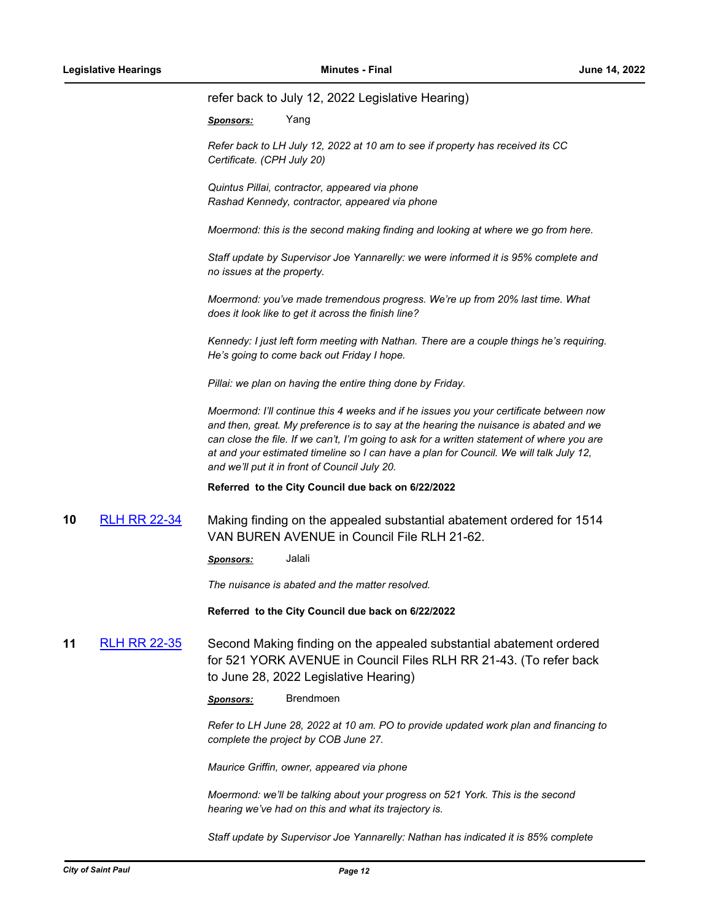#### refer back to July 12, 2022 Legislative Hearing)

*Sponsors:* Yang

*Refer back to LH July 12, 2022 at 10 am to see if property has received its CC Certificate. (CPH July 20)*

*Quintus Pillai, contractor, appeared via phone Rashad Kennedy, contractor, appeared via phone*

*Moermond: this is the second making finding and looking at where we go from here.* 

*Staff update by Supervisor Joe Yannarelly: we were informed it is 95% complete and no issues at the property.*

*Moermond: you've made tremendous progress. We're up from 20% last time. What does it look like to get it across the finish line?*

*Kennedy: I just left form meeting with Nathan. There are a couple things he's requiring. He's going to come back out Friday I hope.* 

*Pillai: we plan on having the entire thing done by Friday.*

*Moermond: I'll continue this 4 weeks and if he issues you your certificate between now and then, great. My preference is to say at the hearing the nuisance is abated and we can close the file. If we can't, I'm going to ask for a written statement of where you are at and your estimated timeline so I can have a plan for Council. We will talk July 12, and we'll put it in front of Council July 20.*

**Referred to the City Council due back on 6/22/2022**

**10** [RLH RR 22-34](http://stpaul.legistar.com/gateway.aspx?m=l&id=/matter.aspx?key=41872) Making finding on the appealed substantial abatement ordered for 1514 VAN BUREN AVENUE in Council File RLH 21-62.

*Sponsors:* Jalali

*The nuisance is abated and the matter resolved.*

**Referred to the City Council due back on 6/22/2022**

**11** [RLH RR 22-35](http://stpaul.legistar.com/gateway.aspx?m=l&id=/matter.aspx?key=41874) Second Making finding on the appealed substantial abatement ordered for 521 YORK AVENUE in Council Files RLH RR 21-43. (To refer back to June 28, 2022 Legislative Hearing)

*Sponsors:* Brendmoen

*Refer to LH June 28, 2022 at 10 am. PO to provide updated work plan and financing to complete the project by COB June 27.*

*Maurice Griffin, owner, appeared via phone*

*Moermond: we'll be talking about your progress on 521 York. This is the second hearing we've had on this and what its trajectory is.* 

*Staff update by Supervisor Joe Yannarelly: Nathan has indicated it is 85% complete*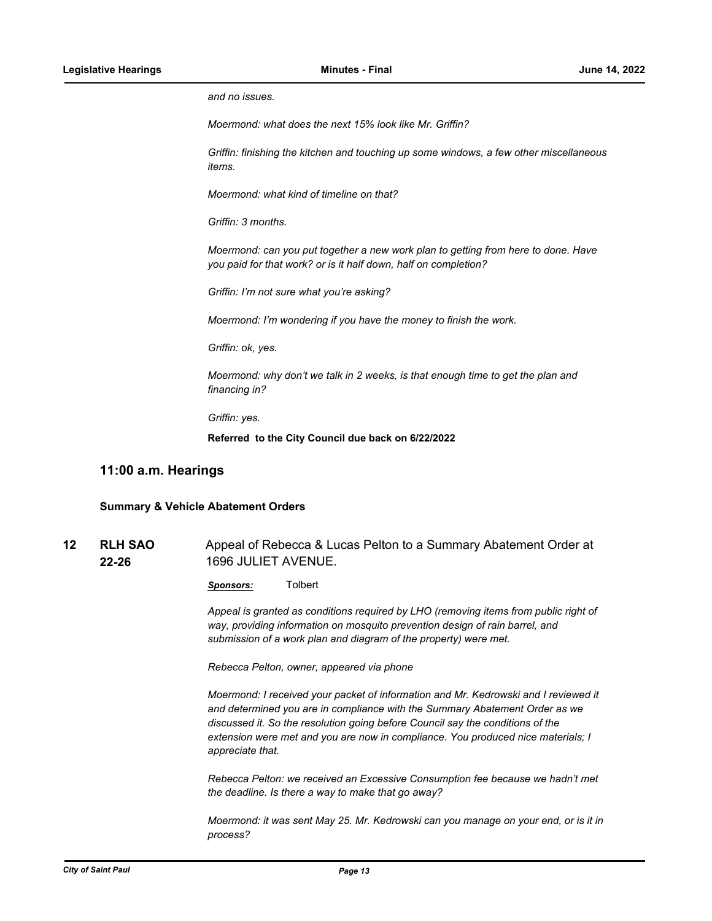*and no issues.*

*Moermond: what does the next 15% look like Mr. Griffin?*

*Griffin: finishing the kitchen and touching up some windows, a few other miscellaneous items.* 

*Moermond: what kind of timeline on that?*

*Griffin: 3 months.* 

*Moermond: can you put together a new work plan to getting from here to done. Have you paid for that work? or is it half down, half on completion?*

*Griffin: I'm not sure what you're asking?*

*Moermond: I'm wondering if you have the money to finish the work.* 

*Griffin: ok, yes.* 

*Moermond: why don't we talk in 2 weeks, is that enough time to get the plan and financing in?*

*Griffin: yes.*

**Referred to the City Council due back on 6/22/2022**

## **11:00 a.m. Hearings**

#### **Summary & Vehicle Abatement Orders**

**RLH SAO 22-26** 12 RLH SAO Appeal of Rebecca & Lucas Pelton to a Summary Abatement Order at 1696 JULIET AVENUE.

*Sponsors:* Tolbert

*Appeal is granted as conditions required by LHO (removing items from public right of way, providing information on mosquito prevention design of rain barrel, and submission of a work plan and diagram of the property) were met.* 

*Rebecca Pelton, owner, appeared via phone*

*Moermond: I received your packet of information and Mr. Kedrowski and I reviewed it and determined you are in compliance with the Summary Abatement Order as we discussed it. So the resolution going before Council say the conditions of the extension were met and you are now in compliance. You produced nice materials; I appreciate that.*

*Rebecca Pelton: we received an Excessive Consumption fee because we hadn't met the deadline. Is there a way to make that go away?* 

*Moermond: it was sent May 25. Mr. Kedrowski can you manage on your end, or is it in process?*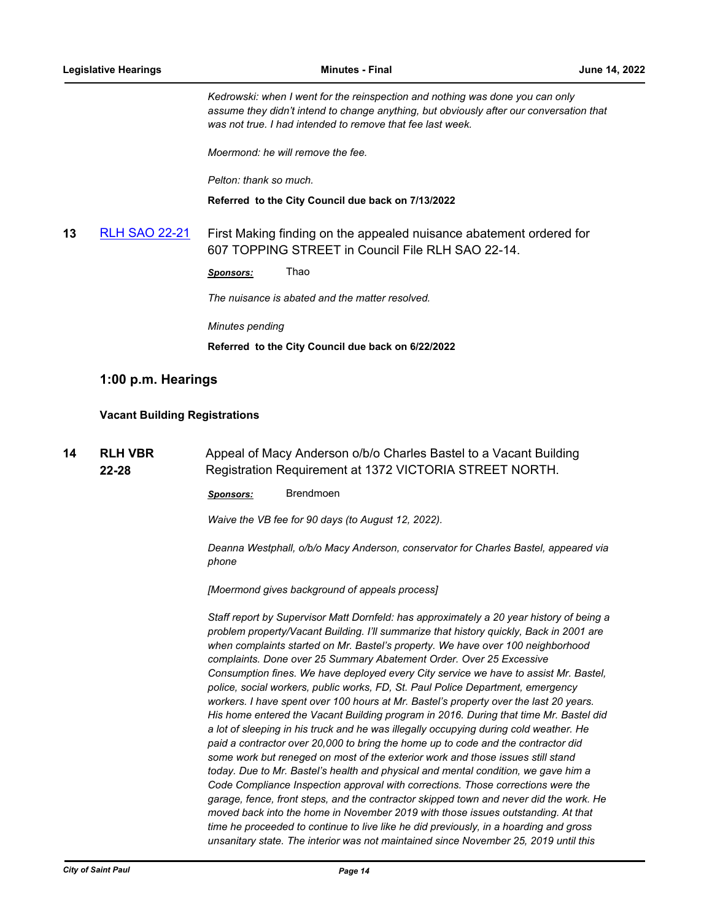*Kedrowski: when I went for the reinspection and nothing was done you can only assume they didn't intend to change anything, but obviously after our conversation that was not true. I had intended to remove that fee last week.*

*Moermond: he will remove the fee.*

*Pelton: thank so much.*

**Referred to the City Council due back on 7/13/2022**

# **13** [RLH SAO 22-21](http://stpaul.legistar.com/gateway.aspx?m=l&id=/matter.aspx?key=41866) First Making finding on the appealed nuisance abatement ordered for 607 TOPPING STREET in Council File RLH SAO 22-14.

*Sponsors:* Thao

*The nuisance is abated and the matter resolved.* 

*Minutes pending*

**Referred to the City Council due back on 6/22/2022**

# **1:00 p.m. Hearings**

## **Vacant Building Registrations**

**RLH VBR 22-28 14 RLH VBR** Appeal of Macy Anderson o/b/o Charles Bastel to a Vacant Building Registration Requirement at 1372 VICTORIA STREET NORTH.

*Sponsors:* Brendmoen

*Waive the VB fee for 90 days (to August 12, 2022).* 

*Deanna Westphall, o/b/o Macy Anderson, conservator for Charles Bastel, appeared via phone*

*[Moermond gives background of appeals process]*

*Staff report by Supervisor Matt Dornfeld: has approximately a 20 year history of being a problem property/Vacant Building. I'll summarize that history quickly, Back in 2001 are when complaints started on Mr. Bastel's property. We have over 100 neighborhood complaints. Done over 25 Summary Abatement Order. Over 25 Excessive Consumption fines. We have deployed every City service we have to assist Mr. Bastel, police, social workers, public works, FD, St. Paul Police Department, emergency workers. I have spent over 100 hours at Mr. Bastel's property over the last 20 years. His home entered the Vacant Building program in 2016. During that time Mr. Bastel did a lot of sleeping in his truck and he was illegally occupying during cold weather. He paid a contractor over 20,000 to bring the home up to code and the contractor did some work but reneged on most of the exterior work and those issues still stand today. Due to Mr. Bastel's health and physical and mental condition, we gave him a Code Compliance Inspection approval with corrections. Those corrections were the garage, fence, front steps, and the contractor skipped town and never did the work. He moved back into the home in November 2019 with those issues outstanding. At that time he proceeded to continue to live like he did previously, in a hoarding and gross unsanitary state. The interior was not maintained since November 25, 2019 until this*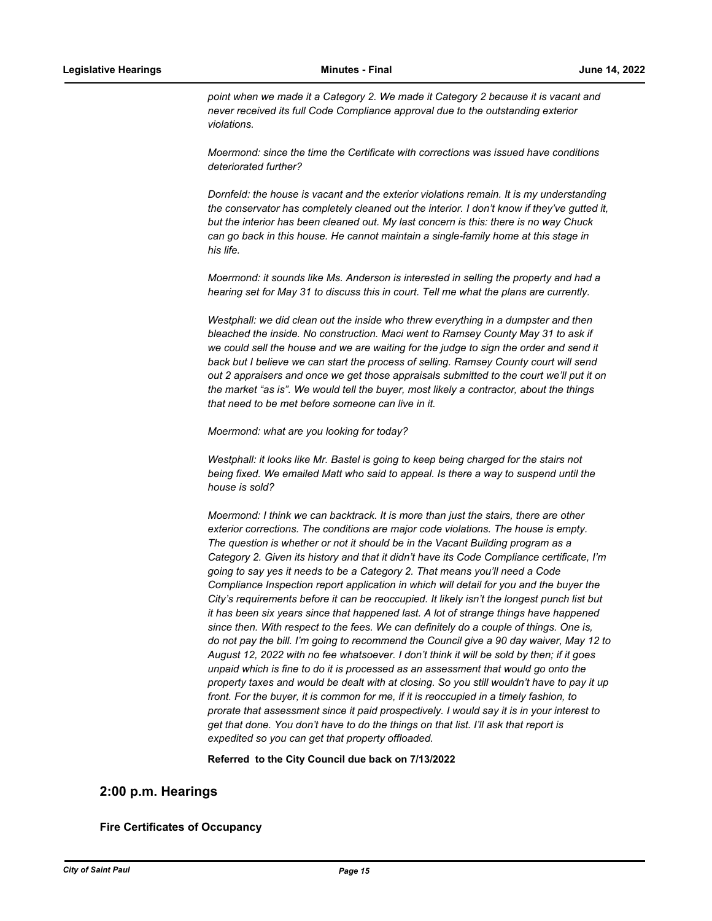*point when we made it a Category 2. We made it Category 2 because it is vacant and never received its full Code Compliance approval due to the outstanding exterior violations.* 

*Moermond: since the time the Certificate with corrections was issued have conditions deteriorated further?*

*Dornfeld: the house is vacant and the exterior violations remain. It is my understanding the conservator has completely cleaned out the interior. I don't know if they've gutted it, but the interior has been cleaned out. My last concern is this: there is no way Chuck can go back in this house. He cannot maintain a single-family home at this stage in his life.* 

*Moermond: it sounds like Ms. Anderson is interested in selling the property and had a hearing set for May 31 to discuss this in court. Tell me what the plans are currently.*

Westphall: we did clean out the inside who threw everything in a dumpster and then *bleached the inside. No construction. Maci went to Ramsey County May 31 to ask if we could sell the house and we are waiting for the judge to sign the order and send it back but I believe we can start the process of selling. Ramsey County court will send out 2 appraisers and once we get those appraisals submitted to the court we'll put it on the market "as is". We would tell the buyer, most likely a contractor, about the things that need to be met before someone can live in it.* 

*Moermond: what are you looking for today?*

*Westphall: it looks like Mr. Bastel is going to keep being charged for the stairs not being fixed. We emailed Matt who said to appeal. Is there a way to suspend until the house is sold?*

*Moermond: I think we can backtrack. It is more than just the stairs, there are other exterior corrections. The conditions are major code violations. The house is empty.*  The question is whether or not it should be in the Vacant Building program as a *Category 2. Given its history and that it didn't have its Code Compliance certificate, I'm going to say yes it needs to be a Category 2. That means you'll need a Code Compliance Inspection report application in which will detail for you and the buyer the City's requirements before it can be reoccupied. It likely isn't the longest punch list but it has been six years since that happened last. A lot of strange things have happened since then. With respect to the fees. We can definitely do a couple of things. One is, do not pay the bill. I'm going to recommend the Council give a 90 day waiver, May 12 to August 12, 2022 with no fee whatsoever. I don't think it will be sold by then; if it goes unpaid which is fine to do it is processed as an assessment that would go onto the property taxes and would be dealt with at closing. So you still wouldn't have to pay it up*  front. For the buyer, it is common for me, if it is reoccupied in a timely fashion, to *prorate that assessment since it paid prospectively. I would say it is in your interest to get that done. You don't have to do the things on that list. I'll ask that report is expedited so you can get that property offloaded.*

**Referred to the City Council due back on 7/13/2022**

## **2:00 p.m. Hearings**

### **Fire Certificates of Occupancy**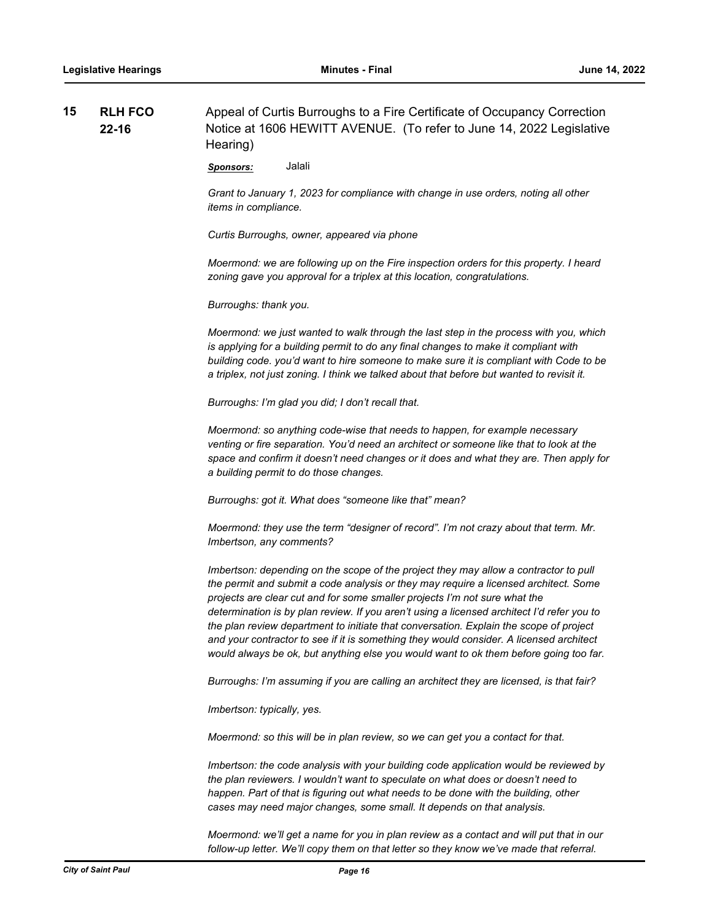| 15 | <b>RLH FCO</b> | Appeal of Curtis Burroughs to a Fire Certificate of Occupancy Correction |  |
|----|----------------|--------------------------------------------------------------------------|--|
|    | $22 - 16$      | Notice at 1606 HEWITT AVENUE. (To refer to June 14, 2022 Legislative     |  |
|    |                | Hearing)                                                                 |  |

*Sponsors:* Jalali

*Grant to January 1, 2023 for compliance with change in use orders, noting all other items in compliance.* 

*Curtis Burroughs, owner, appeared via phone*

*Moermond: we are following up on the Fire inspection orders for this property. I heard zoning gave you approval for a triplex at this location, congratulations.*

*Burroughs: thank you.*

*Moermond: we just wanted to walk through the last step in the process with you, which is applying for a building permit to do any final changes to make it compliant with building code. you'd want to hire someone to make sure it is compliant with Code to be a triplex, not just zoning. I think we talked about that before but wanted to revisit it.*

*Burroughs: I'm glad you did; I don't recall that.*

*Moermond: so anything code-wise that needs to happen, for example necessary venting or fire separation. You'd need an architect or someone like that to look at the space and confirm it doesn't need changes or it does and what they are. Then apply for a building permit to do those changes.* 

*Burroughs: got it. What does "someone like that" mean?*

*Moermond: they use the term "designer of record". I'm not crazy about that term. Mr. Imbertson, any comments?*

*Imbertson: depending on the scope of the project they may allow a contractor to pull the permit and submit a code analysis or they may require a licensed architect. Some projects are clear cut and for some smaller projects I'm not sure what the determination is by plan review. If you aren't using a licensed architect I'd refer you to the plan review department to initiate that conversation. Explain the scope of project and your contractor to see if it is something they would consider. A licensed architect would always be ok, but anything else you would want to ok them before going too far.* 

*Burroughs: I'm assuming if you are calling an architect they are licensed, is that fair?*

*Imbertson: typically, yes.*

*Moermond: so this will be in plan review, so we can get you a contact for that.*

*Imbertson: the code analysis with your building code application would be reviewed by the plan reviewers. I wouldn't want to speculate on what does or doesn't need to happen. Part of that is figuring out what needs to be done with the building, other cases may need major changes, some small. It depends on that analysis.*

*Moermond: we'll get a name for you in plan review as a contact and will put that in our follow-up letter. We'll copy them on that letter so they know we've made that referral.*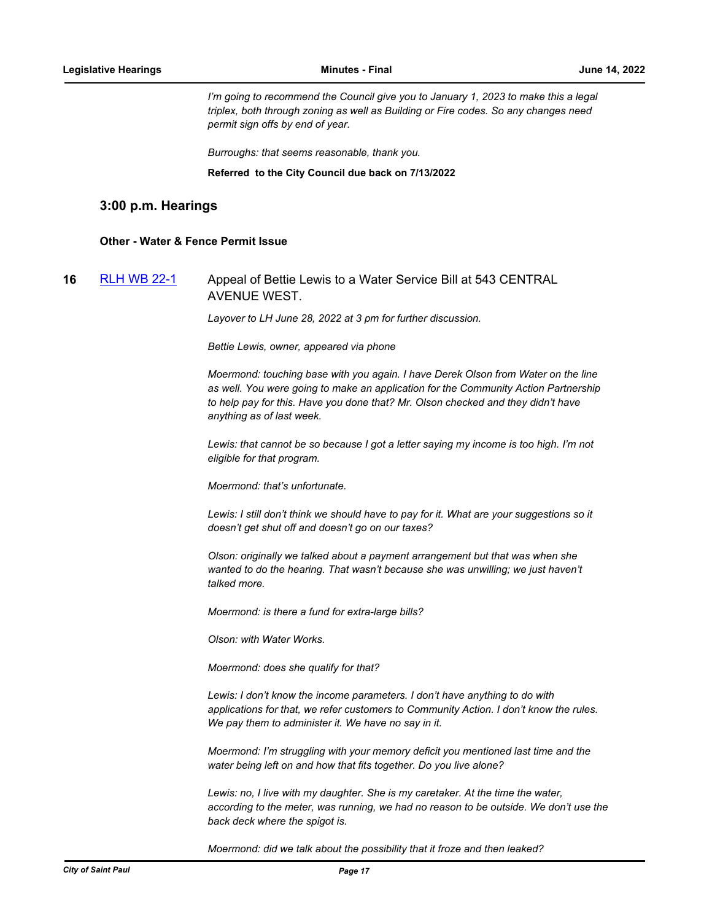*I'm going to recommend the Council give you to January 1, 2023 to make this a legal triplex, both through zoning as well as Building or Fire codes. So any changes need permit sign offs by end of year.*

*Burroughs: that seems reasonable, thank you.*

#### **Referred to the City Council due back on 7/13/2022**

## **3:00 p.m. Hearings**

#### **Other - Water & Fence Permit Issue**

# **16** [RLH WB 22-1](http://stpaul.legistar.com/gateway.aspx?m=l&id=/matter.aspx?key=41717) Appeal of Bettie Lewis to a Water Service Bill at 543 CENTRAL AVENUE WEST.

*Layover to LH June 28, 2022 at 3 pm for further discussion.* 

*Bettie Lewis, owner, appeared via phone*

*Moermond: touching base with you again. I have Derek Olson from Water on the line as well. You were going to make an application for the Community Action Partnership to help pay for this. Have you done that? Mr. Olson checked and they didn't have anything as of last week.*

*Lewis: that cannot be so because I got a letter saying my income is too high. I'm not eligible for that program.* 

*Moermond: that's unfortunate.* 

*Lewis: I still don't think we should have to pay for it. What are your suggestions so it doesn't get shut off and doesn't go on our taxes?*

*Olson: originally we talked about a payment arrangement but that was when she wanted to do the hearing. That wasn't because she was unwilling; we just haven't talked more.* 

*Moermond: is there a fund for extra-large bills?*

*Olson: with Water Works.* 

*Moermond: does she qualify for that?*

*Lewis: I don't know the income parameters. I don't have anything to do with applications for that, we refer customers to Community Action. I don't know the rules. We pay them to administer it. We have no say in it.* 

*Moermond: I'm struggling with your memory deficit you mentioned last time and the water being left on and how that fits together. Do you live alone?*

*Lewis: no, I live with my daughter. She is my caretaker. At the time the water, according to the meter, was running, we had no reason to be outside. We don't use the back deck where the spigot is.* 

*Moermond: did we talk about the possibility that it froze and then leaked?*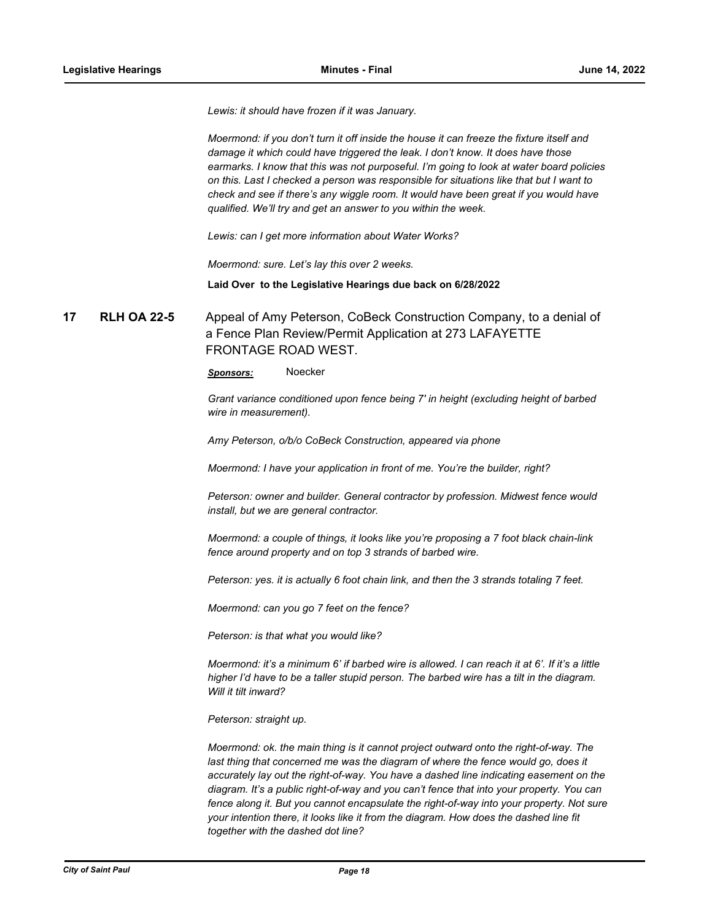*Lewis: it should have frozen if it was January.*

*Moermond: if you don't turn it off inside the house it can freeze the fixture itself and damage it which could have triggered the leak. I don't know. It does have those earmarks. I know that this was not purposeful. I'm going to look at water board policies on this. Last I checked a person was responsible for situations like that but I want to check and see if there's any wiggle room. It would have been great if you would have qualified. We'll try and get an answer to you within the week.* 

*Lewis: can I get more information about Water Works?*

*Moermond: sure. Let's lay this over 2 weeks.*

**Laid Over to the Legislative Hearings due back on 6/28/2022**

**17 RLH OA 22-5** Appeal of Amy Peterson, CoBeck Construction Company, to a denial of a Fence Plan Review/Permit Application at 273 LAFAYETTE FRONTAGE ROAD WEST.

*Sponsors:* Noecker

*Grant variance conditioned upon fence being 7' in height (excluding height of barbed wire in measurement).*

*Amy Peterson, o/b/o CoBeck Construction, appeared via phone* 

*Moermond: I have your application in front of me. You're the builder, right?*

*Peterson: owner and builder. General contractor by profession. Midwest fence would install, but we are general contractor.* 

*Moermond: a couple of things, it looks like you're proposing a 7 foot black chain-link fence around property and on top 3 strands of barbed wire.* 

*Peterson: yes. it is actually 6 foot chain link, and then the 3 strands totaling 7 feet.*

*Moermond: can you go 7 feet on the fence?*

*Peterson: is that what you would like?*

*Moermond: it's a minimum 6' if barbed wire is allowed. I can reach it at 6'. If it's a little higher I'd have to be a taller stupid person. The barbed wire has a tilt in the diagram. Will it tilt inward?*

*Peterson: straight up.* 

*Moermond: ok. the main thing is it cannot project outward onto the right-of-way. The*  last thing that concerned me was the diagram of where the fence would go, does it *accurately lay out the right-of-way. You have a dashed line indicating easement on the diagram. It's a public right-of-way and you can't fence that into your property. You can*  fence along it. But you cannot encapsulate the right-of-way into your property. Not sure *your intention there, it looks like it from the diagram. How does the dashed line fit together with the dashed dot line?*